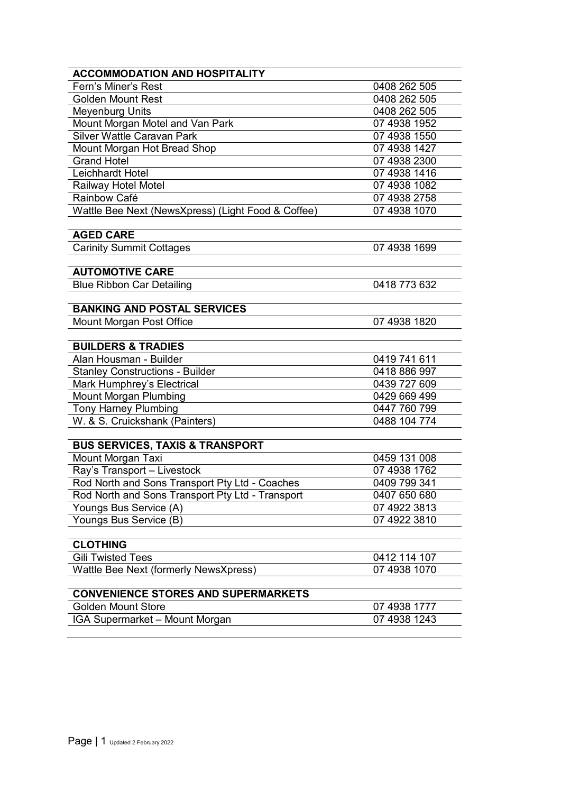| <b>ACCOMMODATION AND HOSPITALITY</b>               |              |
|----------------------------------------------------|--------------|
| Fern's Miner's Rest                                | 0408 262 505 |
| <b>Golden Mount Rest</b>                           | 0408 262 505 |
| <b>Meyenburg Units</b>                             | 0408 262 505 |
| Mount Morgan Motel and Van Park                    | 07 4938 1952 |
| Silver Wattle Caravan Park                         | 07 4938 1550 |
| Mount Morgan Hot Bread Shop                        | 07 4938 1427 |
| <b>Grand Hotel</b>                                 | 07 4938 2300 |
| Leichhardt Hotel                                   | 07 4938 1416 |
| Railway Hotel Motel                                | 07 4938 1082 |
| Rainbow Café                                       | 07 4938 2758 |
| Wattle Bee Next (NewsXpress) (Light Food & Coffee) | 07 4938 1070 |
|                                                    |              |
| <b>AGED CARE</b>                                   |              |
| <b>Carinity Summit Cottages</b>                    | 07 4938 1699 |
|                                                    |              |
| <b>AUTOMOTIVE CARE</b>                             |              |
| <b>Blue Ribbon Car Detailing</b>                   | 0418 773 632 |
| <b>BANKING AND POSTAL SERVICES</b>                 |              |
| Mount Morgan Post Office                           | 07 4938 1820 |
|                                                    |              |
| <b>BUILDERS &amp; TRADIES</b>                      |              |
| Alan Housman - Builder                             | 0419 741 611 |
| <b>Stanley Constructions - Builder</b>             | 0418 886 997 |
| Mark Humphrey's Electrical                         | 0439 727 609 |
| Mount Morgan Plumbing                              | 0429 669 499 |
| <b>Tony Harney Plumbing</b>                        | 0447 760 799 |
| W. & S. Cruickshank (Painters)                     | 0488 104 774 |
|                                                    |              |
| <b>BUS SERVICES, TAXIS &amp; TRANSPORT</b>         |              |
| Mount Morgan Taxi                                  | 0459 131 008 |
| Ray's Transport - Livestock                        | 07 4938 1762 |
| Rod North and Sons Transport Pty Ltd - Coaches     | 0409 799 341 |
| Rod North and Sons Transport Pty Ltd - Transport   | 0407 650 680 |
| Youngs Bus Service (A)                             | 07 4922 3813 |
| Youngs Bus Service (B)                             | 07 4922 3810 |
|                                                    |              |
| <b>CLOTHING</b>                                    |              |
| <b>Gili Twisted Tees</b>                           | 0412 114 107 |
| Wattle Bee Next (formerly NewsXpress)              | 07 4938 1070 |
|                                                    |              |
| <b>CONVENIENCE STORES AND SUPERMARKETS</b>         |              |
| <b>Golden Mount Store</b>                          | 07 4938 1777 |
| IGA Supermarket - Mount Morgan                     | 07 4938 1243 |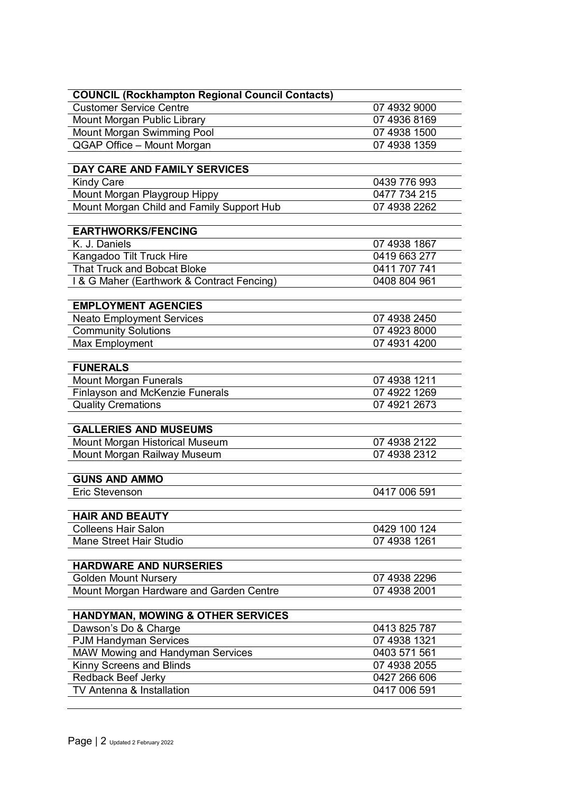| <b>COUNCIL (Rockhampton Regional Council Contacts)</b> |              |
|--------------------------------------------------------|--------------|
| <b>Customer Service Centre</b>                         | 07 4932 9000 |
| Mount Morgan Public Library                            | 07 4936 8169 |
| Mount Morgan Swimming Pool                             | 07 4938 1500 |
| QGAP Office - Mount Morgan                             | 07 4938 1359 |
|                                                        |              |
| DAY CARE AND FAMILY SERVICES                           |              |
| <b>Kindy Care</b>                                      | 0439 776 993 |
| Mount Morgan Playgroup Hippy                           | 0477 734 215 |
| Mount Morgan Child and Family Support Hub              | 07 4938 2262 |
| <b>EARTHWORKS/FENCING</b>                              |              |
| K. J. Daniels                                          | 07 4938 1867 |
| Kangadoo Tilt Truck Hire                               | 0419 663 277 |
| <b>That Truck and Bobcat Bloke</b>                     | 0411 707 741 |
| I & G Maher (Earthwork & Contract Fencing)             | 0408 804 961 |
|                                                        |              |
| <b>EMPLOYMENT AGENCIES</b>                             |              |
| <b>Neato Employment Services</b>                       | 07 4938 2450 |
| <b>Community Solutions</b>                             | 07 4923 8000 |
| Max Employment                                         | 07 4931 4200 |
|                                                        |              |
| <b>FUNERALS</b>                                        |              |
| Mount Morgan Funerals                                  | 07 4938 1211 |
| <b>Finlayson and McKenzie Funerals</b>                 | 07 4922 1269 |
| <b>Quality Cremations</b>                              | 07 4921 2673 |
| <b>GALLERIES AND MUSEUMS</b>                           |              |
| Mount Morgan Historical Museum                         | 07 4938 2122 |
| Mount Morgan Railway Museum                            | 07 4938 2312 |
|                                                        |              |
| <b>GUNS AND AMMO</b>                                   |              |
| <b>Eric Stevenson</b>                                  | 0417 006 591 |
| <b>HAIR AND BEAUTY</b>                                 |              |
| <b>Colleens Hair Salon</b>                             | 0429 100 124 |
| <b>Mane Street Hair Studio</b>                         | 07 4938 1261 |
|                                                        |              |
| <b>HARDWARE AND NURSERIES</b>                          |              |
| <b>Golden Mount Nursery</b>                            | 07 4938 2296 |
| Mount Morgan Hardware and Garden Centre                | 07 4938 2001 |
|                                                        |              |
| <b>HANDYMAN, MOWING &amp; OTHER SERVICES</b>           |              |
| Dawson's Do & Charge                                   | 0413 825 787 |
| <b>PJM Handyman Services</b>                           | 07 4938 1321 |
| MAW Mowing and Handyman Services                       | 0403 571 561 |
| Kinny Screens and Blinds                               | 07 4938 2055 |
| Redback Beef Jerky                                     | 0427 266 606 |
| TV Antenna & Installation                              | 0417 006 591 |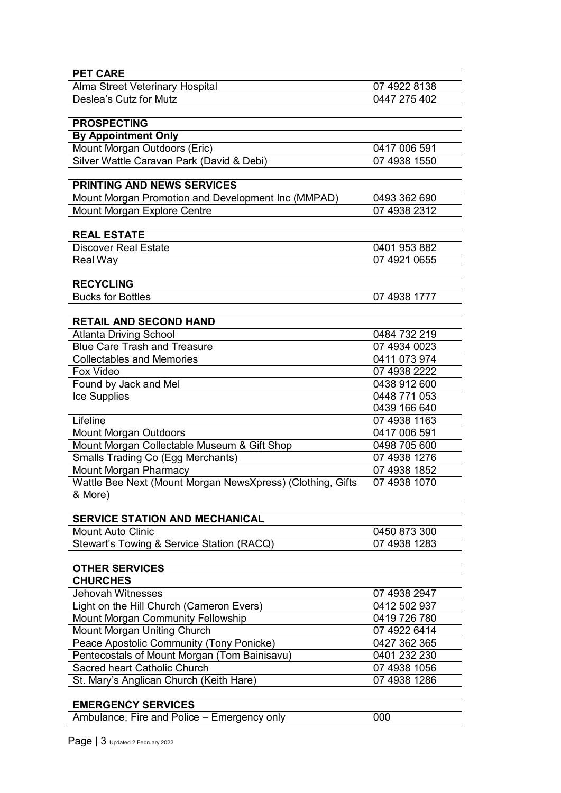| <b>PET CARE</b>                                            |              |
|------------------------------------------------------------|--------------|
| Alma Street Veterinary Hospital                            | 07 4922 8138 |
| Deslea's Cutz for Mutz                                     | 0447 275 402 |
|                                                            |              |
| <b>PROSPECTING</b>                                         |              |
| <b>By Appointment Only</b>                                 |              |
| Mount Morgan Outdoors (Eric)                               | 0417 006 591 |
| Silver Wattle Caravan Park (David & Debi)                  | 07 4938 1550 |
|                                                            |              |
| <b>PRINTING AND NEWS SERVICES</b>                          |              |
| Mount Morgan Promotion and Development Inc (MMPAD)         | 0493 362 690 |
| Mount Morgan Explore Centre                                | 07 4938 2312 |
|                                                            |              |
| <b>REAL ESTATE</b>                                         |              |
| <b>Discover Real Estate</b>                                | 0401 953 882 |
| Real Way                                                   | 07 4921 0655 |
|                                                            |              |
| <b>RECYCLING</b>                                           |              |
| <b>Bucks for Bottles</b>                                   | 07 4938 1777 |
|                                                            |              |
| <b>RETAIL AND SECOND HAND</b>                              |              |
| <b>Atlanta Driving School</b>                              | 0484 732 219 |
| <b>Blue Care Trash and Treasure</b>                        | 07 4934 0023 |
| <b>Collectables and Memories</b>                           | 0411 073 974 |
| Fox Video                                                  | 07 4938 2222 |
| Found by Jack and Mel                                      | 0438 912 600 |
| Ice Supplies                                               | 0448 771 053 |
|                                                            | 0439 166 640 |
| Lifeline                                                   | 07 4938 1163 |
| Mount Morgan Outdoors                                      | 0417 006 591 |
| Mount Morgan Collectable Museum & Gift Shop                | 0498 705 600 |
| <b>Smalls Trading Co (Egg Merchants)</b>                   | 07 4938 1276 |
| Mount Morgan Pharmacy                                      | 07 4938 1852 |
| Wattle Bee Next (Mount Morgan NewsXpress) (Clothing, Gifts | 07 4938 1070 |
| & More)                                                    |              |
|                                                            |              |
| <b>SERVICE STATION AND MECHANICAL</b>                      |              |
| <b>Mount Auto Clinic</b>                                   | 0450 873 300 |
| Stewart's Towing & Service Station (RACQ)                  | 07 4938 1283 |
| <b>OTHER SERVICES</b>                                      |              |
|                                                            |              |
| <b>CHURCHES</b>                                            |              |
| <b>Jehovah Witnesses</b>                                   | 07 4938 2947 |
| Light on the Hill Church (Cameron Evers)                   | 0412 502 937 |
| Mount Morgan Community Fellowship                          | 0419 726 780 |
| Mount Morgan Uniting Church                                | 07 4922 6414 |
| Peace Apostolic Community (Tony Ponicke)                   | 0427 362 365 |
| Pentecostals of Mount Morgan (Tom Bainisavu)               | 0401 232 230 |
| Sacred heart Catholic Church                               | 07 4938 1056 |
| St. Mary's Anglican Church (Keith Hare)                    | 07 4938 1286 |
| <b>EMERGENCY SERVICES</b>                                  |              |
|                                                            |              |
| Ambulance, Fire and Police – Emergency only                | 000          |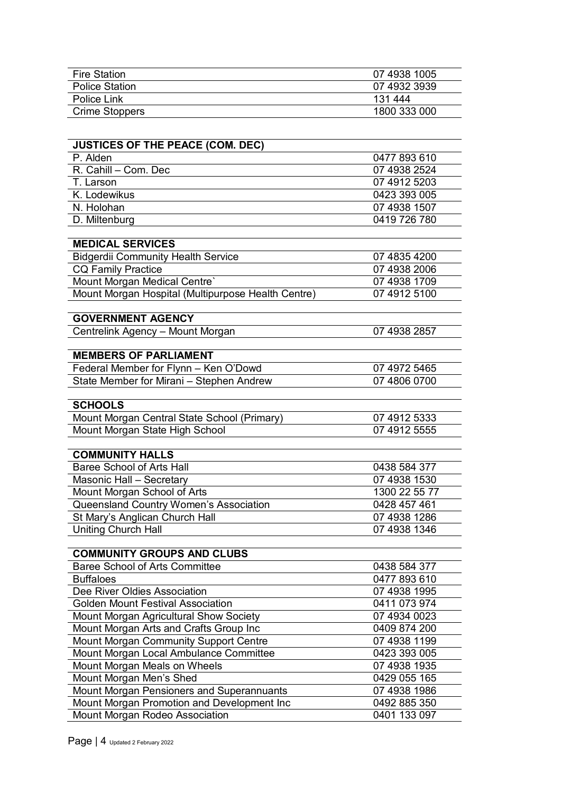| <b>Fire Station</b>                                | 07 4938 1005  |
|----------------------------------------------------|---------------|
| <b>Police Station</b>                              | 07 4932 3939  |
| Police Link                                        | 131 444       |
| <b>Crime Stoppers</b>                              | 1800 333 000  |
|                                                    |               |
| <b>JUSTICES OF THE PEACE (COM. DEC)</b>            |               |
| P. Alden                                           | 0477 893 610  |
| R. Cahill - Com. Dec                               | 07 4938 2524  |
| T. Larson                                          | 07 4912 5203  |
| K. Lodewikus                                       | 0423 393 005  |
| N. Holohan                                         | 07 4938 1507  |
| D. Miltenburg                                      | 0419 726 780  |
| <b>MEDICAL SERVICES</b>                            |               |
| <b>Bidgerdii Community Health Service</b>          | 07 4835 4200  |
| <b>CQ Family Practice</b>                          | 07 4938 2006  |
| Mount Morgan Medical Centre'                       | 07 4938 1709  |
| Mount Morgan Hospital (Multipurpose Health Centre) | 07 4912 5100  |
|                                                    |               |
| <b>GOVERNMENT AGENCY</b>                           |               |
| Centrelink Agency - Mount Morgan                   | 07 4938 2857  |
|                                                    |               |
| <b>MEMBERS OF PARLIAMENT</b>                       |               |
| Federal Member for Flynn - Ken O'Dowd              | 07 4972 5465  |
| State Member for Mirani - Stephen Andrew           | 07 4806 0700  |
| <b>SCHOOLS</b>                                     |               |
| Mount Morgan Central State School (Primary)        | 07 4912 5333  |
| Mount Morgan State High School                     | 07 4912 5555  |
|                                                    |               |
| <b>COMMUNITY HALLS</b>                             |               |
| <b>Baree School of Arts Hall</b>                   | 0438 584 377  |
| Masonic Hall - Secretary                           | 07 4938 1530  |
| Mount Morgan School of Arts                        | 1300 22 55 77 |
| Queensland Country Women's Association             | 0428 457 461  |
| St Mary's Anglican Church Hall                     | 07 4938 1286  |
| <b>Uniting Church Hall</b>                         | 07 4938 1346  |
| <b>COMMUNITY GROUPS AND CLUBS</b>                  |               |
| <b>Baree School of Arts Committee</b>              | 0438 584 377  |
| <b>Buffaloes</b>                                   | 0477 893 610  |
| Dee River Oldies Association                       | 07 4938 1995  |
| <b>Golden Mount Festival Association</b>           | 0411 073 974  |
|                                                    |               |

| Golden Mount Festival Association          | 0411 073 974 |
|--------------------------------------------|--------------|
| Mount Morgan Agricultural Show Society     | 07 4934 0023 |
| Mount Morgan Arts and Crafts Group Inc     | 0409 874 200 |
| Mount Morgan Community Support Centre      | 07 4938 1199 |
| Mount Morgan Local Ambulance Committee     | 0423 393 005 |
| Mount Morgan Meals on Wheels               | 07 4938 1935 |
| Mount Morgan Men's Shed                    | 0429 055 165 |
| Mount Morgan Pensioners and Superannuants  | 07 4938 1986 |
| Mount Morgan Promotion and Development Inc | 0492 885 350 |
| Mount Morgan Rodeo Association             | 0401 133 097 |